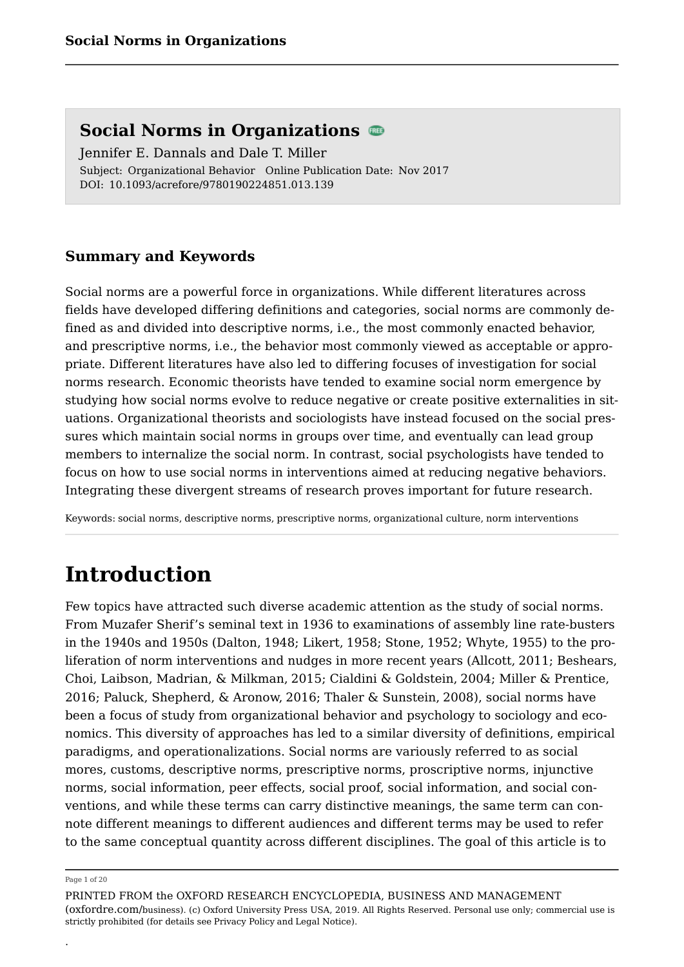Subject: Organizational Behavior Online Publication Date: Nov 2017 DOI: 10.1093/acrefore/9780190224851.013.139 Jennifer E. Dannals and Dale T. Miller

## **Summary and Keywords**

Social norms are a powerful force in organizations. While different literatures across fields have developed differing definitions and categories, social norms are commonly defined as and divided into descriptive norms, i.e., the most commonly enacted behavior, and prescriptive norms, i.e., the behavior most commonly viewed as acceptable or appropriate. Different literatures have also led to differing focuses of investigation for social norms research. Economic theorists have tended to examine social norm emergence by studying how social norms evolve to reduce negative or create positive externalities in situations. Organizational theorists and sociologists have instead focused on the social pressures which maintain social norms in groups over time, and eventually can lead group members to internalize the social norm. In contrast, social psychologists have tended to focus on how to use social norms in interventions aimed at reducing negative behaviors. Integrating these divergent streams of research proves important for future research.

Keywords: social norms, descriptive norms, prescriptive norms, organizational culture, norm interventions

## **Introduction**

Few topics have attracted such diverse academic attention as the study of social norms. From Muzafer Sherif's seminal text in 1936 to examinations of assembly line rate-busters in the 1940s and 1950s (Dalton, 1948; Likert, 1958; Stone, 1952; Whyte, 1955) to the proliferation of norm interventions and nudges in more recent years (Allcott, 2011; Beshears, Choi, Laibson, Madrian, & Milkman, 2015; Cialdini & Goldstein, 2004; Miller & Prentice, 2016; Paluck, Shepherd, & Aronow, 2016; Thaler & Sunstein, 2008), social norms have been a focus of study from organizational behavior and psychology to sociology and economics. This diversity of approaches has led to a similar diversity of definitions, empirical paradigms, and operationalizations. Social norms are variously referred to as social mores, customs, descriptive norms, prescriptive norms, proscriptive norms, injunctive norms, social information, peer effects, social proof, social information, and social conventions, and while these terms can carry distinctive meanings, the same term can connote different meanings to different audiences and different terms may be used to refer to the same conceptual quantity across different disciplines. The goal of this article is to

.

Page 1 of 20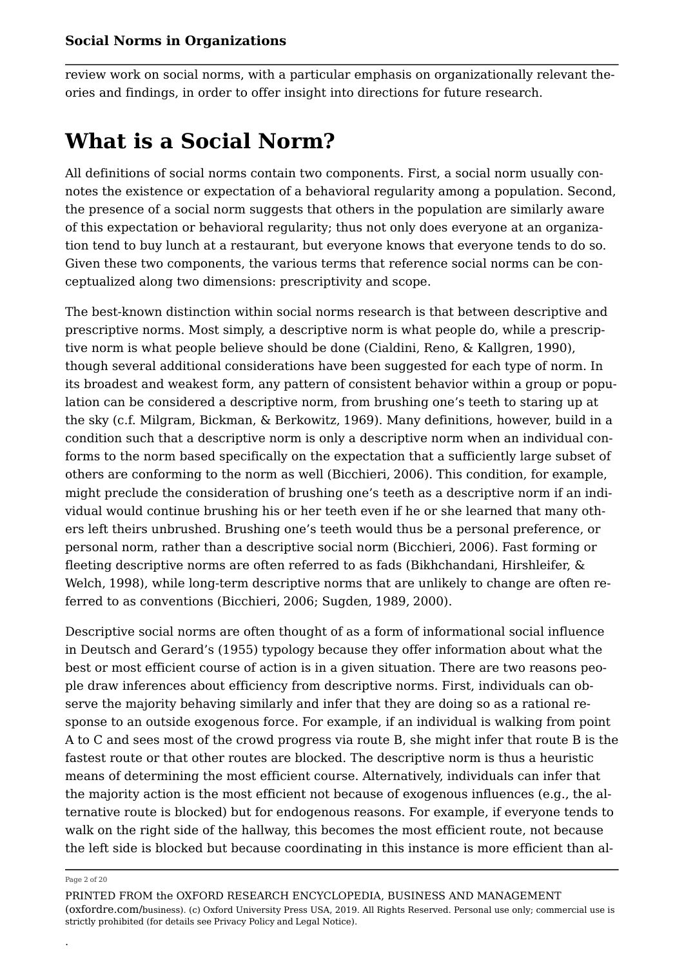review work on social norms, with a particular emphasis on organizationally relevant theories and findings, in order to offer insight into directions for future research.

## **What is a Social Norm?**

All definitions of social norms contain two components. First, a social norm usually connotes the existence or expectation of a behavioral regularity among a population. Second, the presence of a social norm suggests that others in the population are similarly aware of this expectation or behavioral regularity; thus not only does everyone at an organization tend to buy lunch at a restaurant, but everyone knows that everyone tends to do so. Given these two components, the various terms that reference social norms can be conceptualized along two dimensions: prescriptivity and scope.

The best-known distinction within social norms research is that between descriptive and prescriptive norms. Most simply, a descriptive norm is what people do, while a prescriptive norm is what people believe should be done (Cialdini, Reno, & Kallgren, 1990), though several additional considerations have been suggested for each type of norm. In its broadest and weakest form, any pattern of consistent behavior within a group or population can be considered a descriptive norm, from brushing one's teeth to staring up at the sky (c.f. Milgram, Bickman, & Berkowitz, 1969). Many definitions, however, build in a condition such that a descriptive norm is only a descriptive norm when an individual conforms to the norm based specifically on the expectation that a sufficiently large subset of others are conforming to the norm as well (Bicchieri, 2006). This condition, for example, might preclude the consideration of brushing one's teeth as a descriptive norm if an individual would continue brushing his or her teeth even if he or she learned that many others left theirs unbrushed. Brushing one's teeth would thus be a personal preference, or personal norm, rather than a descriptive social norm (Bicchieri, 2006). Fast forming or fleeting descriptive norms are often referred to as fads (Bikhchandani, Hirshleifer, & Welch, 1998), while long-term descriptive norms that are unlikely to change are often referred to as conventions (Bicchieri, 2006; Sugden, 1989, 2000).

Descriptive social norms are often thought of as a form of informational social influence in Deutsch and Gerard's (1955) typology because they offer information about what the best or most efficient course of action is in a given situation. There are two reasons people draw inferences about efficiency from descriptive norms. First, individuals can observe the majority behaving similarly and infer that they are doing so as a rational response to an outside exogenous force. For example, if an individual is walking from point A to C and sees most of the crowd progress via route B, she might infer that route B is the fastest route or that other routes are blocked. The descriptive norm is thus a heuristic means of determining the most efficient course. Alternatively, individuals can infer that the majority action is the most efficient not because of exogenous influences (e.g., the alternative route is blocked) but for endogenous reasons. For example, if everyone tends to walk on the right side of the hallway, this becomes the most efficient route, not because the left side is blocked but because coordinating in this instance is more efficient than al

#### Page 2 of 20

.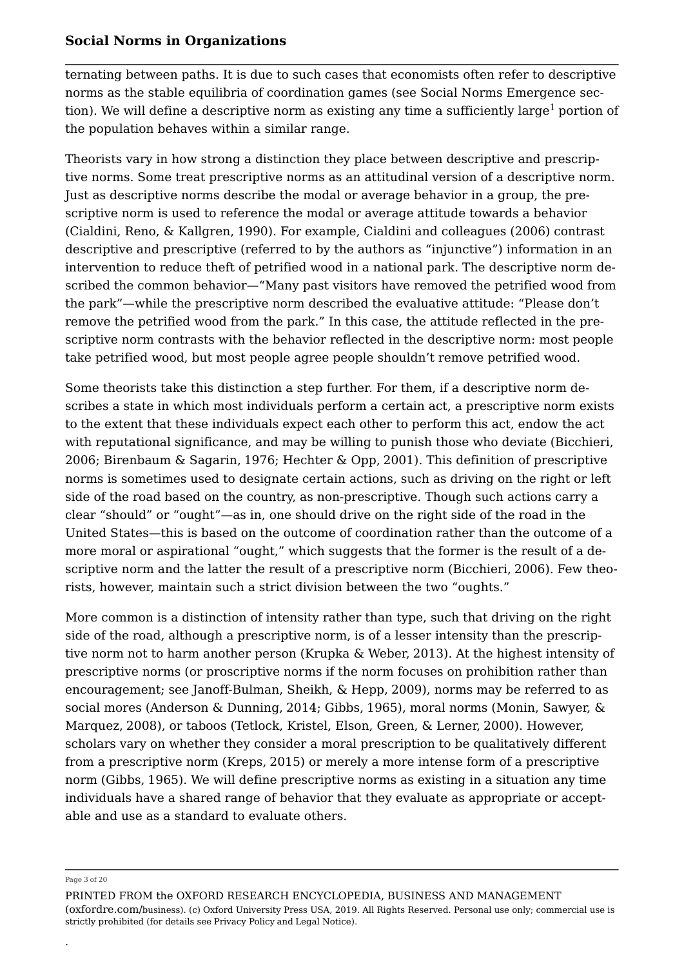ternating between paths. It is due to such cases that economists often refer to descriptive norms as the stable equilibria of coordination games (see Social Norms Emergence section). We will define a descriptive norm as existing any time a sufficiently large<sup>1</sup> portion of the population behaves within a similar range.

Theorists vary in how strong a distinction they place between descriptive and prescriptive norms. Some treat prescriptive norms as an attitudinal version of a descriptive norm. Just as descriptive norms describe the modal or average behavior in a group, the prescriptive norm is used to reference the modal or average attitude towards a behavior (Cialdini, Reno, & Kallgren, 1990). For example, Cialdini and colleagues (2006) contrast descriptive and prescriptive (referred to by the authors as "injunctive") information in an intervention to reduce theft of petrified wood in a national park. The descriptive norm described the common behavior—"Many past visitors have removed the petrified wood from the park"—while the prescriptive norm described the evaluative attitude: "Please don't remove the petrified wood from the park." In this case, the attitude reflected in the prescriptive norm contrasts with the behavior reflected in the descriptive norm: most people take petrified wood, but most people agree people shouldn't remove petrified wood.

Some theorists take this distinction a step further. For them, if a descriptive norm describes a state in which most individuals perform a certain act, a prescriptive norm exists to the extent that these individuals expect each other to perform this act, endow the act with reputational significance, and may be willing to punish those who deviate (Bicchieri, 2006; Birenbaum & Sagarin, 1976; Hechter & Opp, 2001). This definition of prescriptive norms is sometimes used to designate certain actions, such as driving on the right or left side of the road based on the country, as non-prescriptive. Though such actions carry a clear "should" or "ought"—as in, one should drive on the right side of the road in the United States—this is based on the outcome of coordination rather than the outcome of a more moral or aspirational "ought," which suggests that the former is the result of a descriptive norm and the latter the result of a prescriptive norm (Bicchieri, 2006). Few theorists, however, maintain such a strict division between the two "oughts."

More common is a distinction of intensity rather than type, such that driving on the right side of the road, although a prescriptive norm, is of a lesser intensity than the prescriptive norm not to harm another person (Krupka & Weber, 2013). At the highest intensity of prescriptive norms (or proscriptive norms if the norm focuses on prohibition rather than encouragement; see Janoff-Bulman, Sheikh, & Hepp, 2009), norms may be referred to as social mores (Anderson & Dunning, 2014; Gibbs, 1965), moral norms (Monin, Sawyer, & Marquez, 2008), or taboos (Tetlock, Kristel, Elson, Green, & Lerner, 2000). However, scholars vary on whether they consider a moral prescription to be qualitatively different from a prescriptive norm (Kreps, 2015) or merely a more intense form of a prescriptive norm (Gibbs, 1965). We will define prescriptive norms as existing in a situation any time individuals have a shared range of behavior that they evaluate as appropriate or acceptable and use as a standard to evaluate others.

#### Page 3 of 20

.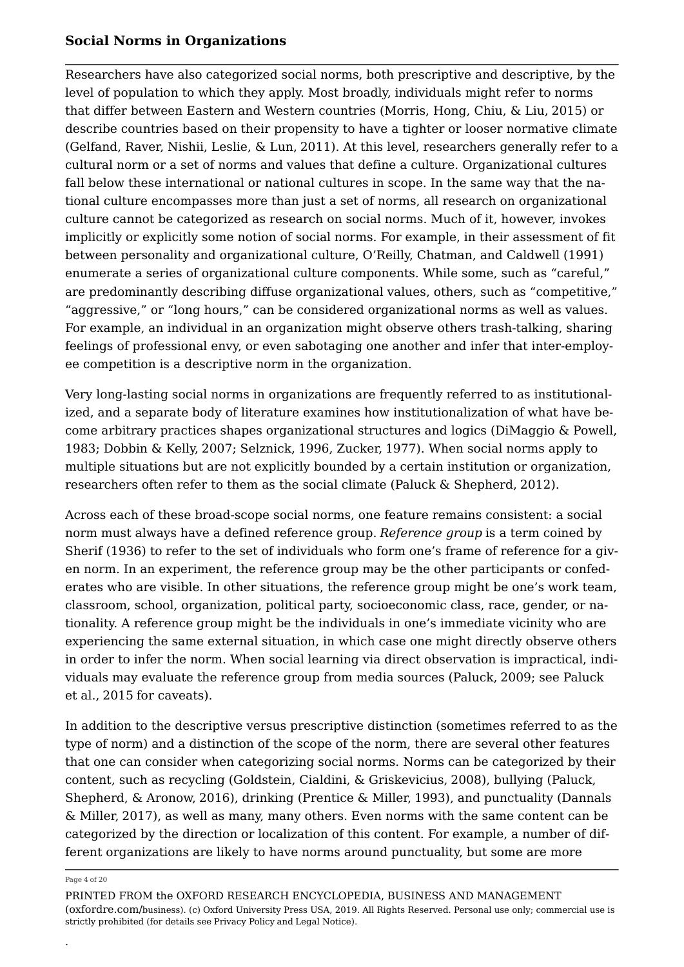Researchers have also categorized social norms, both prescriptive and descriptive, by the level of population to which they apply. Most broadly, individuals might refer to norms that differ between Eastern and Western countries (Morris, Hong, Chiu, & Liu, 2015) or describe countries based on their propensity to have a tighter or looser normative climate (Gelfand, Raver, Nishii, Leslie, & Lun, 2011). At this level, researchers generally refer to a cultural norm or a set of norms and values that define a culture. Organizational cultures fall below these international or national cultures in scope. In the same way that the national culture encompasses more than just a set of norms, all research on organizational culture cannot be categorized as research on social norms. Much of it, however, invokes implicitly or explicitly some notion of social norms. For example, in their assessment of fit between personality and organizational culture, O'Reilly, Chatman, and Caldwell (1991) enumerate a series of organizational culture components. While some, such as "careful," are predominantly describing diffuse organizational values, others, such as "competitive," "aggressive," or "long hours," can be considered organizational norms as well as values. For example, an individual in an organization might observe others trash-talking, sharing feelings of professional envy, or even sabotaging one another and infer that inter-employee competition is a descriptive norm in the organization.

Very long-lasting social norms in organizations are frequently referred to as institutionalized, and a separate body of literature examines how institutionalization of what have become arbitrary practices shapes organizational structures and logics (DiMaggio & Powell, 1983; Dobbin & Kelly, 2007; Selznick, 1996, Zucker, 1977). When social norms apply to multiple situations but are not explicitly bounded by a certain institution or organization, researchers often refer to them as the social climate (Paluck & Shepherd, 2012).

Across each of these broad-scope social norms, one feature remains consistent: a social norm must always have a defined reference group. *Reference group* is a term coined by Sherif (1936) to refer to the set of individuals who form one's frame of reference for a given norm. In an experiment, the reference group may be the other participants or confederates who are visible. In other situations, the reference group might be one's work team, classroom, school, organization, political party, socioeconomic class, race, gender, or nationality. A reference group might be the individuals in one's immediate vicinity who are experiencing the same external situation, in which case one might directly observe others in order to infer the norm. When social learning via direct observation is impractical, individuals may evaluate the reference group from media sources (Paluck, 2009; see Paluck et al., 2015 for caveats).

In addition to the descriptive versus prescriptive distinction (sometimes referred to as the type of norm) and a distinction of the scope of the norm, there are several other features that one can consider when categorizing social norms. Norms can be categorized by their content, such as recycling (Goldstein, Cialdini, & Griskevicius, 2008), bullying (Paluck, Shepherd, & Aronow, 2016), drinking (Prentice & Miller, 1993), and punctuality (Dannals & Miller, 2017), as well as many, many others. Even norms with the same content can be categorized by the direction or localization of this content. For example, a number of different organizations are likely to have norms around punctuality, but some are more

#### Page 4 of 20

.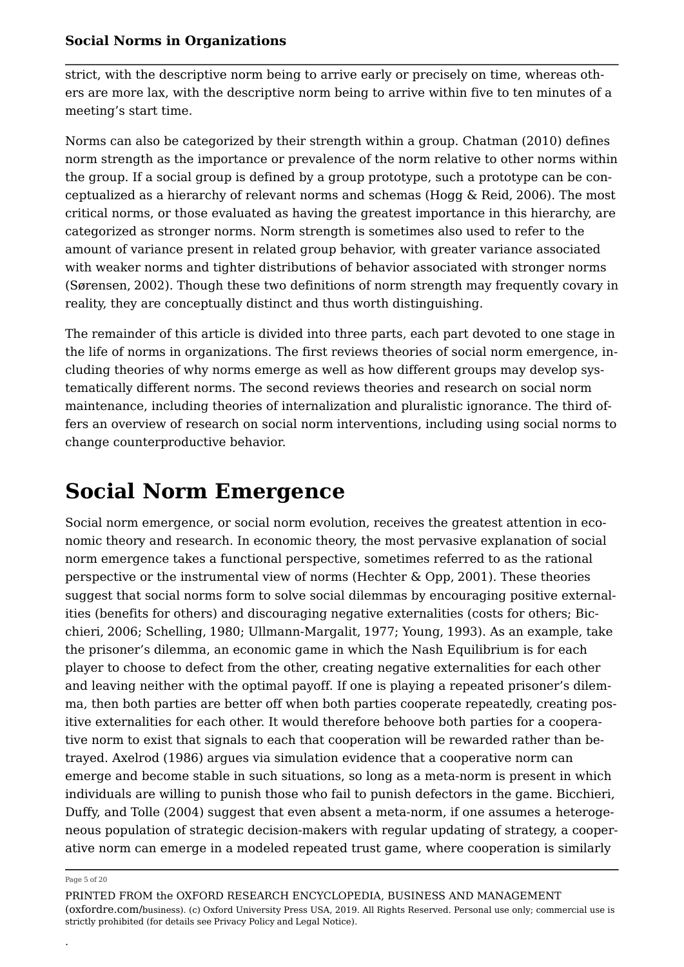strict, with the descriptive norm being to arrive early or precisely on time, whereas others are more lax, with the descriptive norm being to arrive within five to ten minutes of a meeting's start time.

Norms can also be categorized by their strength within a group. Chatman (2010) defines norm strength as the importance or prevalence of the norm relative to other norms within the group. If a social group is defined by a group prototype, such a prototype can be conceptualized as a hierarchy of relevant norms and schemas (Hogg & Reid, 2006). The most critical norms, or those evaluated as having the greatest importance in this hierarchy, are categorized as stronger norms. Norm strength is sometimes also used to refer to the amount of variance present in related group behavior, with greater variance associated with weaker norms and tighter distributions of behavior associated with stronger norms (Sørensen, 2002). Though these two definitions of norm strength may frequently covary in reality, they are conceptually distinct and thus worth distinguishing.

The remainder of this article is divided into three parts, each part devoted to one stage in the life of norms in organizations. The first reviews theories of social norm emergence, including theories of why norms emerge as well as how different groups may develop systematically different norms. The second reviews theories and research on social norm maintenance, including theories of internalization and pluralistic ignorance. The third offers an overview of research on social norm interventions, including using social norms to change counterproductive behavior.

## **Social Norm Emergence**

Social norm emergence, or social norm evolution, receives the greatest attention in economic theory and research. In economic theory, the most pervasive explanation of social norm emergence takes a functional perspective, sometimes referred to as the rational perspective or the instrumental view of norms (Hechter & Opp, 2001). These theories suggest that social norms form to solve social dilemmas by encouraging positive externalities (benefits for others) and discouraging negative externalities (costs for others; Bicchieri, 2006; Schelling, 1980; Ullmann-Margalit, 1977; Young, 1993). As an example, take the prisoner's dilemma, an economic game in which the Nash Equilibrium is for each player to choose to defect from the other, creating negative externalities for each other and leaving neither with the optimal payoff. If one is playing a repeated prisoner's dilemma, then both parties are better off when both parties cooperate repeatedly, creating positive externalities for each other. It would therefore behoove both parties for a cooperative norm to exist that signals to each that cooperation will be rewarded rather than betrayed. Axelrod (1986) argues via simulation evidence that a cooperative norm can emerge and become stable in such situations, so long as a meta-norm is present in which individuals are willing to punish those who fail to punish defectors in the game. Bicchieri, Duffy, and Tolle (2004) suggest that even absent a meta-norm, if one assumes a heterogeneous population of strategic decision-makers with regular updating of strategy, a cooperative norm can emerge in a modeled repeated trust game, where cooperation is similarly

#### Page 5 of 20

.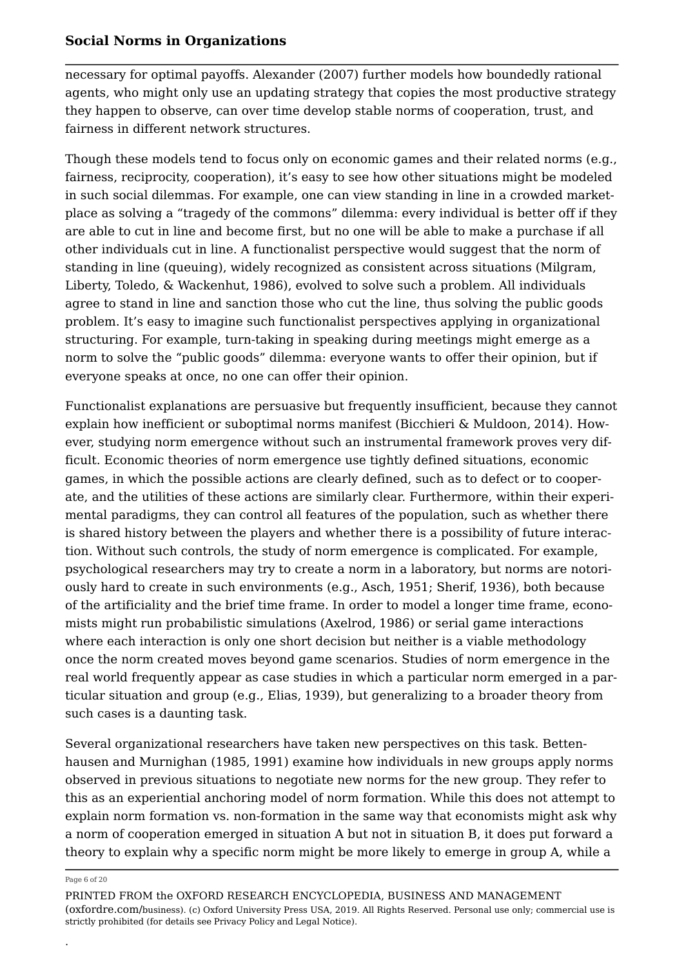necessary for optimal payoffs. Alexander (2007) further models how boundedly rational agents, who might only use an updating strategy that copies the most productive strategy they happen to observe, can over time develop stable norms of cooperation, trust, and fairness in different network structures.

Though these models tend to focus only on economic games and their related norms (e.g., fairness, reciprocity, cooperation), it's easy to see how other situations might be modeled in such social dilemmas. For example, one can view standing in line in a crowded marketplace as solving a "tragedy of the commons" dilemma: every individual is better off if they are able to cut in line and become first, but no one will be able to make a purchase if all other individuals cut in line. A functionalist perspective would suggest that the norm of standing in line (queuing), widely recognized as consistent across situations (Milgram, Liberty, Toledo, & Wackenhut, 1986), evolved to solve such a problem. All individuals agree to stand in line and sanction those who cut the line, thus solving the public goods problem. It's easy to imagine such functionalist perspectives applying in organizational structuring. For example, turn-taking in speaking during meetings might emerge as a norm to solve the "public goods" dilemma: everyone wants to offer their opinion, but if everyone speaks at once, no one can offer their opinion.

Functionalist explanations are persuasive but frequently insufficient, because they cannot explain how inefficient or suboptimal norms manifest (Bicchieri & Muldoon, 2014). However, studying norm emergence without such an instrumental framework proves very difficult. Economic theories of norm emergence use tightly defined situations, economic games, in which the possible actions are clearly defined, such as to defect or to cooperate, and the utilities of these actions are similarly clear. Furthermore, within their experimental paradigms, they can control all features of the population, such as whether there is shared history between the players and whether there is a possibility of future interaction. Without such controls, the study of norm emergence is complicated. For example, psychological researchers may try to create a norm in a laboratory, but norms are notoriously hard to create in such environments (e.g., Asch, 1951; Sherif, 1936), both because of the artificiality and the brief time frame. In order to model a longer time frame, economists might run probabilistic simulations (Axelrod, 1986) or serial game interactions where each interaction is only one short decision but neither is a viable methodology once the norm created moves beyond game scenarios. Studies of norm emergence in the real world frequently appear as case studies in which a particular norm emerged in a particular situation and group (e.g., Elias, 1939), but generalizing to a broader theory from such cases is a daunting task.

Several organizational researchers have taken new perspectives on this task. Bettenhausen and Murnighan (1985, 1991) examine how individuals in new groups apply norms observed in previous situations to negotiate new norms for the new group. They refer to this as an experiential anchoring model of norm formation. While this does not attempt to explain norm formation vs. non-formation in the same way that economists might ask why a norm of cooperation emerged in situation A but not in situation B, it does put forward a theory to explain why a specific norm might be more likely to emerge in group A, while a

#### Page 6 of 20

.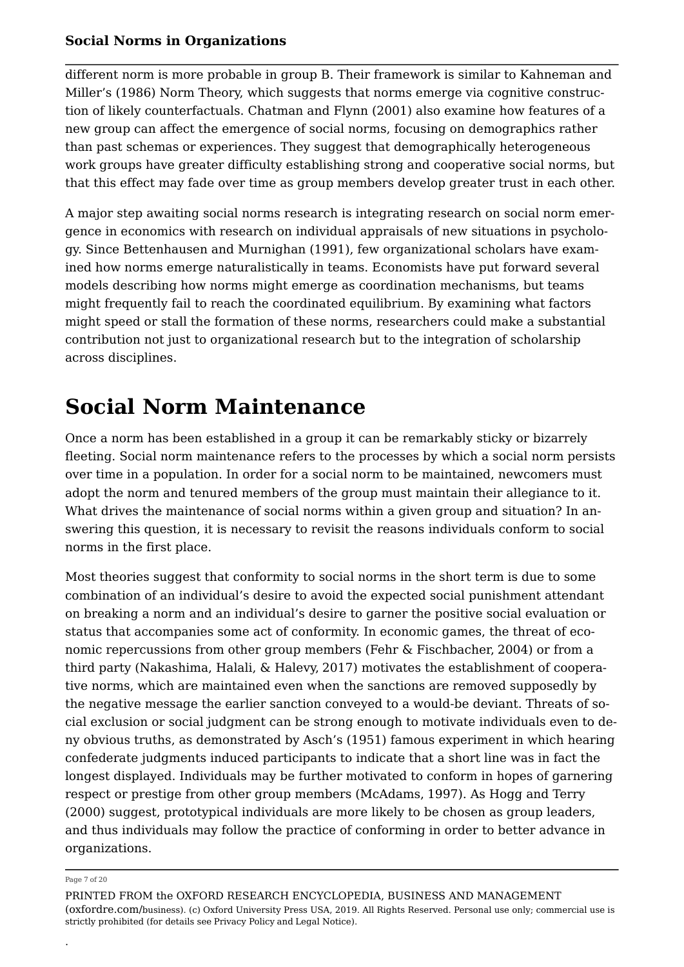different norm is more probable in group B. Their framework is similar to Kahneman and Miller's (1986) Norm Theory, which suggests that norms emerge via cognitive construction of likely counterfactuals. Chatman and Flynn (2001) also examine how features of a new group can affect the emergence of social norms, focusing on demographics rather than past schemas or experiences. They suggest that demographically heterogeneous work groups have greater difficulty establishing strong and cooperative social norms, but that this effect may fade over time as group members develop greater trust in each other.

A major step awaiting social norms research is integrating research on social norm emergence in economics with research on individual appraisals of new situations in psychology. Since Bettenhausen and Murnighan (1991), few organizational scholars have examined how norms emerge naturalistically in teams. Economists have put forward several models describing how norms might emerge as coordination mechanisms, but teams might frequently fail to reach the coordinated equilibrium. By examining what factors might speed or stall the formation of these norms, researchers could make a substantial contribution not just to organizational research but to the integration of scholarship across disciplines.

## **Social Norm Maintenance**

Once a norm has been established in a group it can be remarkably sticky or bizarrely fleeting. Social norm maintenance refers to the processes by which a social norm persists over time in a population. In order for a social norm to be maintained, newcomers must adopt the norm and tenured members of the group must maintain their allegiance to it. What drives the maintenance of social norms within a given group and situation? In answering this question, it is necessary to revisit the reasons individuals conform to social norms in the first place.

Most theories suggest that conformity to social norms in the short term is due to some combination of an individual's desire to avoid the expected social punishment attendant on breaking a norm and an individual's desire to garner the positive social evaluation or status that accompanies some act of conformity. In economic games, the threat of economic repercussions from other group members (Fehr & Fischbacher, 2004) or from a third party (Nakashima, Halali, & Halevy, 2017) motivates the establishment of cooperative norms, which are maintained even when the sanctions are removed supposedly by the negative message the earlier sanction conveyed to a would-be deviant. Threats of social exclusion or social judgment can be strong enough to motivate individuals even to deny obvious truths, as demonstrated by Asch's (1951) famous experiment in which hearing confederate judgments induced participants to indicate that a short line was in fact the longest displayed. Individuals may be further motivated to conform in hopes of garnering respect or prestige from other group members (McAdams, 1997). As Hogg and Terry (2000) suggest, prototypical individuals are more likely to be chosen as group leaders, and thus individuals may follow the practice of conforming in order to better advance in organizations.

#### Page 7 of 20

.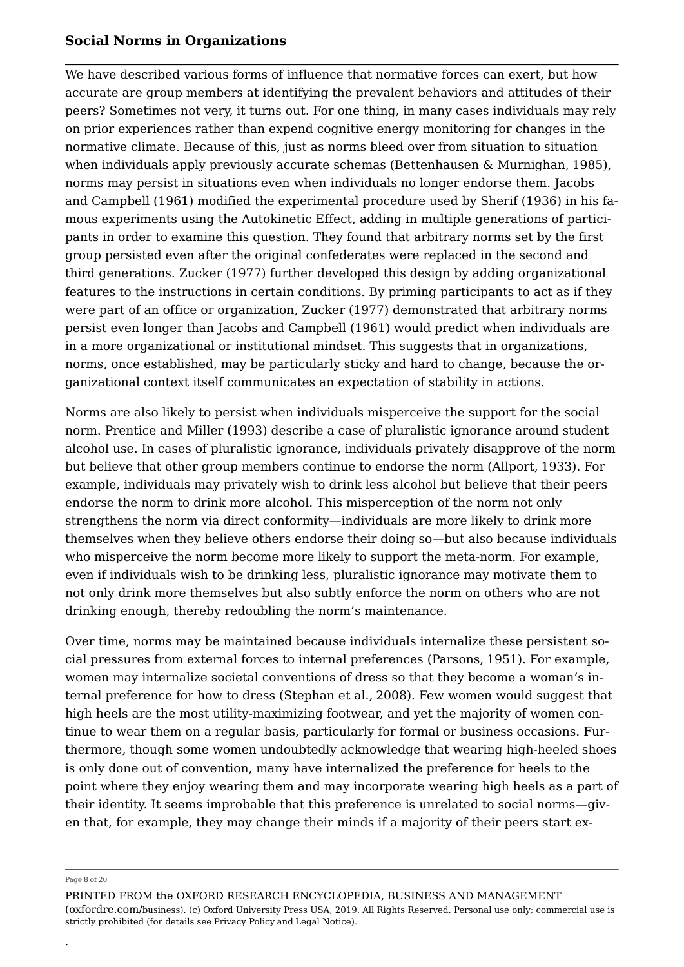We have described various forms of influence that normative forces can exert, but how accurate are group members at identifying the prevalent behaviors and attitudes of their peers? Sometimes not very, it turns out. For one thing, in many cases individuals may rely on prior experiences rather than expend cognitive energy monitoring for changes in the normative climate. Because of this, just as norms bleed over from situation to situation when individuals apply previously accurate schemas (Bettenhausen & Murnighan, 1985), norms may persist in situations even when individuals no longer endorse them. Jacobs and Campbell (1961) modified the experimental procedure used by Sherif (1936) in his famous experiments using the Autokinetic Effect, adding in multiple generations of participants in order to examine this question. They found that arbitrary norms set by the first group persisted even after the original confederates were replaced in the second and third generations. Zucker (1977) further developed this design by adding organizational features to the instructions in certain conditions. By priming participants to act as if they were part of an office or organization, Zucker (1977) demonstrated that arbitrary norms persist even longer than Jacobs and Campbell (1961) would predict when individuals are in a more organizational or institutional mindset. This suggests that in organizations, norms, once established, may be particularly sticky and hard to change, because the organizational context itself communicates an expectation of stability in actions.

Norms are also likely to persist when individuals misperceive the support for the social norm. Prentice and Miller (1993) describe a case of pluralistic ignorance around student alcohol use. In cases of pluralistic ignorance, individuals privately disapprove of the norm but believe that other group members continue to endorse the norm (Allport, 1933). For example, individuals may privately wish to drink less alcohol but believe that their peers endorse the norm to drink more alcohol. This misperception of the norm not only strengthens the norm via direct conformity—individuals are more likely to drink more themselves when they believe others endorse their doing so—but also because individuals who misperceive the norm become more likely to support the meta-norm. For example, even if individuals wish to be drinking less, pluralistic ignorance may motivate them to not only drink more themselves but also subtly enforce the norm on others who are not drinking enough, thereby redoubling the norm's maintenance.

Over time, norms may be maintained because individuals internalize these persistent social pressures from external forces to internal preferences (Parsons, 1951). For example, women may internalize societal conventions of dress so that they become a woman's internal preference for how to dress (Stephan et al., 2008). Few women would suggest that high heels are the most utility-maximizing footwear, and yet the majority of women continue to wear them on a regular basis, particularly for formal or business occasions. Furthermore, though some women undoubtedly acknowledge that wearing high-heeled shoes is only done out of convention, many have internalized the preference for heels to the point where they enjoy wearing them and may incorporate wearing high heels as a part of their identity. It seems improbable that this preference is unrelated to social norms—given that, for example, they may change their minds if a majority of their peers start ex

#### Page 8 of 20

.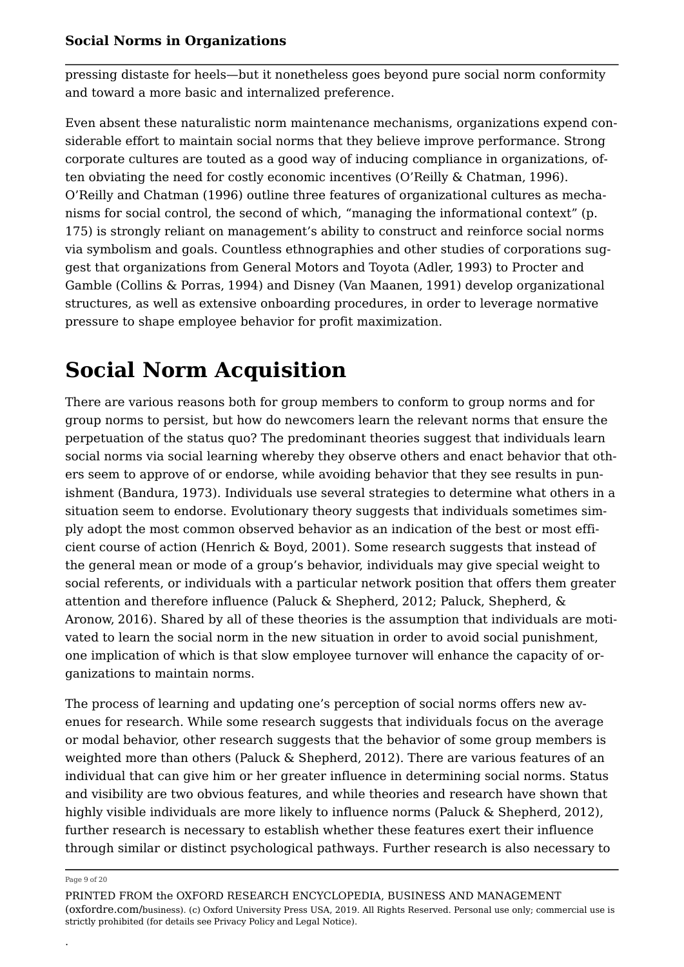pressing distaste for heels—but it nonetheless goes beyond pure social norm conformity and toward a more basic and internalized preference.

Even absent these naturalistic norm maintenance mechanisms, organizations expend considerable effort to maintain social norms that they believe improve performance. Strong corporate cultures are touted as a good way of inducing compliance in organizations, often obviating the need for costly economic incentives (O'Reilly & Chatman, 1996). O'Reilly and Chatman (1996) outline three features of organizational cultures as mechanisms for social control, the second of which, "managing the informational context" (p. 175) is strongly reliant on management's ability to construct and reinforce social norms via symbolism and goals. Countless ethnographies and other studies of corporations suggest that organizations from General Motors and Toyota (Adler, 1993) to Procter and Gamble (Collins & Porras, 1994) and Disney (Van Maanen, 1991) develop organizational structures, as well as extensive onboarding procedures, in order to leverage normative pressure to shape employee behavior for profit maximization.

# **Social Norm Acquisition**

There are various reasons both for group members to conform to group norms and for group norms to persist, but how do newcomers learn the relevant norms that ensure the perpetuation of the status quo? The predominant theories suggest that individuals learn social norms via social learning whereby they observe others and enact behavior that others seem to approve of or endorse, while avoiding behavior that they see results in punishment (Bandura, 1973). Individuals use several strategies to determine what others in a situation seem to endorse. Evolutionary theory suggests that individuals sometimes simply adopt the most common observed behavior as an indication of the best or most efficient course of action (Henrich & Boyd, 2001). Some research suggests that instead of the general mean or mode of a group's behavior, individuals may give special weight to social referents, or individuals with a particular network position that offers them greater attention and therefore influence (Paluck & Shepherd, 2012; Paluck, Shepherd, & Aronow, 2016). Shared by all of these theories is the assumption that individuals are motivated to learn the social norm in the new situation in order to avoid social punishment, one implication of which is that slow employee turnover will enhance the capacity of organizations to maintain norms.

The process of learning and updating one's perception of social norms offers new avenues for research. While some research suggests that individuals focus on the average or modal behavior, other research suggests that the behavior of some group members is weighted more than others (Paluck & Shepherd, 2012). There are various features of an individual that can give him or her greater influence in determining social norms. Status and visibility are two obvious features, and while theories and research have shown that highly visible individuals are more likely to influence norms (Paluck & Shepherd, 2012), further research is necessary to establish whether these features exert their influence through similar or distinct psychological pathways. Further research is also necessary to

#### Page 9 of 20

.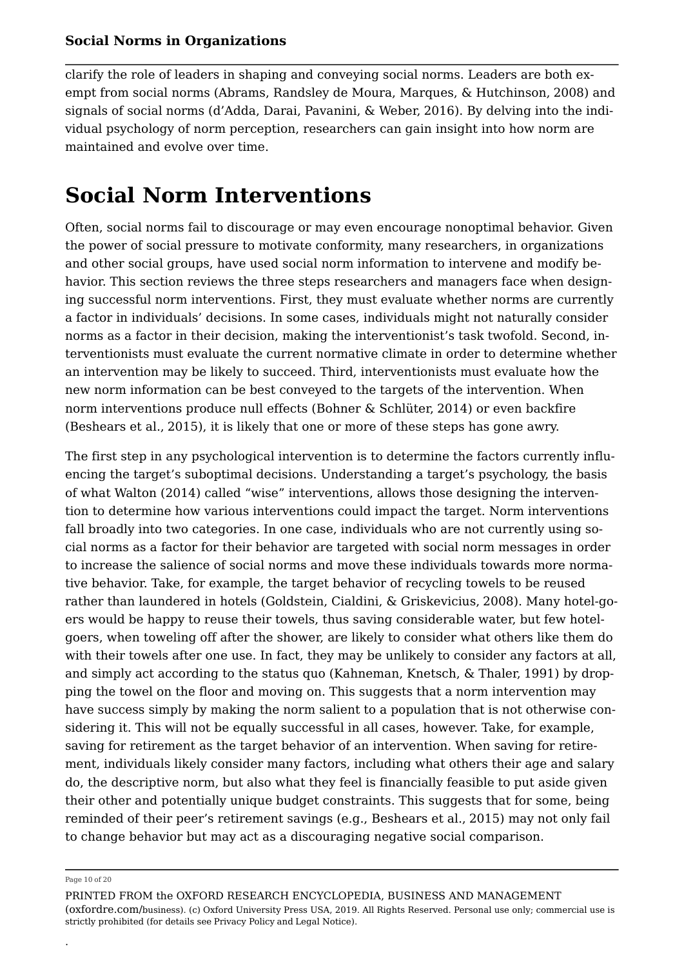clarify the role of leaders in shaping and conveying social norms. Leaders are both exempt from social norms (Abrams, Randsley de Moura, Marques, & Hutchinson, 2008) and signals of social norms (d'Adda, Darai, Pavanini, & Weber, 2016). By delving into the individual psychology of norm perception, researchers can gain insight into how norm are maintained and evolve over time.

## **Social Norm Interventions**

Often, social norms fail to discourage or may even encourage nonoptimal behavior. Given the power of social pressure to motivate conformity, many researchers, in organizations and other social groups, have used social norm information to intervene and modify behavior. This section reviews the three steps researchers and managers face when designing successful norm interventions. First, they must evaluate whether norms are currently a factor in individuals' decisions. In some cases, individuals might not naturally consider norms as a factor in their decision, making the interventionist's task twofold. Second, interventionists must evaluate the current normative climate in order to determine whether an intervention may be likely to succeed. Third, interventionists must evaluate how the new norm information can be best conveyed to the targets of the intervention. When norm interventions produce null effects (Bohner & Schlüter, 2014) or even backfire (Beshears et al., 2015), it is likely that one or more of these steps has gone awry.

The first step in any psychological intervention is to determine the factors currently influencing the target's suboptimal decisions. Understanding a target's psychology, the basis of what Walton (2014) called "wise" interventions, allows those designing the intervention to determine how various interventions could impact the target. Norm interventions fall broadly into two categories. In one case, individuals who are not currently using social norms as a factor for their behavior are targeted with social norm messages in order to increase the salience of social norms and move these individuals towards more normative behavior. Take, for example, the target behavior of recycling towels to be reused rather than laundered in hotels (Goldstein, Cialdini, & Griskevicius, 2008). Many hotel-goers would be happy to reuse their towels, thus saving considerable water, but few hotelgoers, when toweling off after the shower, are likely to consider what others like them do with their towels after one use. In fact, they may be unlikely to consider any factors at all, and simply act according to the status quo (Kahneman, Knetsch, & Thaler, 1991) by dropping the towel on the floor and moving on. This suggests that a norm intervention may have success simply by making the norm salient to a population that is not otherwise considering it. This will not be equally successful in all cases, however. Take, for example, saving for retirement as the target behavior of an intervention. When saving for retirement, individuals likely consider many factors, including what others their age and salary do, the descriptive norm, but also what they feel is financially feasible to put aside given their other and potentially unique budget constraints. This suggests that for some, being reminded of their peer's retirement savings (e.g., Beshears et al., 2015) may not only fail to change behavior but may act as a discouraging negative social comparison.

.

Page 10 of 20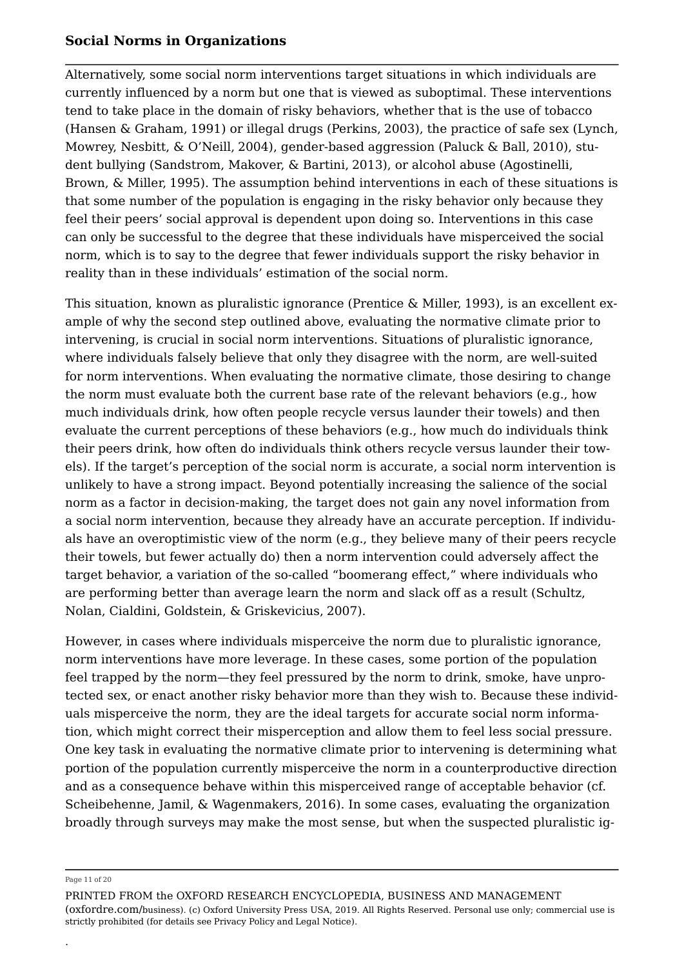Alternatively, some social norm interventions target situations in which individuals are currently influenced by a norm but one that is viewed as suboptimal. These interventions tend to take place in the domain of risky behaviors, whether that is the use of tobacco (Hansen & Graham, 1991) or illegal drugs (Perkins, 2003), the practice of safe sex (Lynch, Mowrey, Nesbitt, & O'Neill, 2004), gender-based aggression (Paluck & Ball, 2010), student bullying (Sandstrom, Makover, & Bartini, 2013), or alcohol abuse (Agostinelli, Brown, & Miller, 1995). The assumption behind interventions in each of these situations is that some number of the population is engaging in the risky behavior only because they feel their peers' social approval is dependent upon doing so. Interventions in this case can only be successful to the degree that these individuals have misperceived the social norm, which is to say to the degree that fewer individuals support the risky behavior in reality than in these individuals' estimation of the social norm.

This situation, known as pluralistic ignorance (Prentice & Miller, 1993), is an excellent example of why the second step outlined above, evaluating the normative climate prior to intervening, is crucial in social norm interventions. Situations of pluralistic ignorance, where individuals falsely believe that only they disagree with the norm, are well-suited for norm interventions. When evaluating the normative climate, those desiring to change the norm must evaluate both the current base rate of the relevant behaviors (e.g., how much individuals drink, how often people recycle versus launder their towels) and then evaluate the current perceptions of these behaviors (e.g., how much do individuals think their peers drink, how often do individuals think others recycle versus launder their towels). If the target's perception of the social norm is accurate, a social norm intervention is unlikely to have a strong impact. Beyond potentially increasing the salience of the social norm as a factor in decision-making, the target does not gain any novel information from a social norm intervention, because they already have an accurate perception. If individuals have an overoptimistic view of the norm (e.g., they believe many of their peers recycle their towels, but fewer actually do) then a norm intervention could adversely affect the target behavior, a variation of the so-called "boomerang effect," where individuals who are performing better than average learn the norm and slack off as a result (Schultz, Nolan, Cialdini, Goldstein, & Griskevicius, 2007).

However, in cases where individuals misperceive the norm due to pluralistic ignorance, norm interventions have more leverage. In these cases, some portion of the population feel trapped by the norm—they feel pressured by the norm to drink, smoke, have unprotected sex, or enact another risky behavior more than they wish to. Because these individuals misperceive the norm, they are the ideal targets for accurate social norm information, which might correct their misperception and allow them to feel less social pressure. One key task in evaluating the normative climate prior to intervening is determining what portion of the population currently misperceive the norm in a counterproductive direction and as a consequence behave within this misperceived range of acceptable behavior (cf. Scheibehenne, Jamil, & Wagenmakers, 2016). In some cases, evaluating the organization broadly through surveys may make the most sense, but when the suspected pluralistic ig

#### Page 11 of 20

.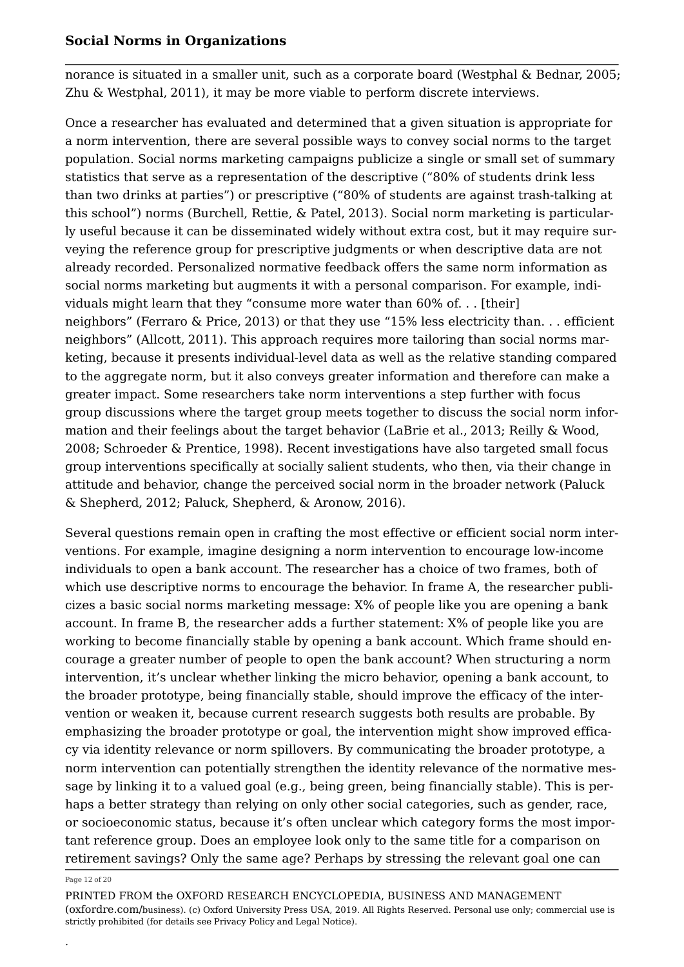norance is situated in a smaller unit, such as a corporate board (Westphal & Bednar, 2005; Zhu & Westphal, 2011), it may be more viable to perform discrete interviews.

Once a researcher has evaluated and determined that a given situation is appropriate for a norm intervention, there are several possible ways to convey social norms to the target population. Social norms marketing campaigns publicize a single or small set of summary statistics that serve as a representation of the descriptive ("80% of students drink less than two drinks at parties") or prescriptive ("80% of students are against trash-talking at this school") norms (Burchell, Rettie, & Patel, 2013). Social norm marketing is particularly useful because it can be disseminated widely without extra cost, but it may require surveying the reference group for prescriptive judgments or when descriptive data are not already recorded. Personalized normative feedback offers the same norm information as social norms marketing but augments it with a personal comparison. For example, individuals might learn that they "consume more water than 60% of. . . [their] neighbors" (Ferraro & Price, 2013) or that they use "15% less electricity than. . . efficient neighbors" (Allcott, 2011). This approach requires more tailoring than social norms marketing, because it presents individual-level data as well as the relative standing compared to the aggregate norm, but it also conveys greater information and therefore can make a greater impact. Some researchers take norm interventions a step further with focus group discussions where the target group meets together to discuss the social norm information and their feelings about the target behavior (LaBrie et al., 2013; Reilly & Wood, 2008; Schroeder & Prentice, 1998). Recent investigations have also targeted small focus group interventions specifically at socially salient students, who then, via their change in attitude and behavior, change the perceived social norm in the broader network (Paluck & Shepherd, 2012; Paluck, Shepherd, & Aronow, 2016).

Several questions remain open in crafting the most effective or efficient social norm interventions. For example, imagine designing a norm intervention to encourage low-income individuals to open a bank account. The researcher has a choice of two frames, both of which use descriptive norms to encourage the behavior. In frame A, the researcher publicizes a basic social norms marketing message: X% of people like you are opening a bank account. In frame B, the researcher adds a further statement: X% of people like you are working to become financially stable by opening a bank account. Which frame should encourage a greater number of people to open the bank account? When structuring a norm intervention, it's unclear whether linking the micro behavior, opening a bank account, to the broader prototype, being financially stable, should improve the efficacy of the intervention or weaken it, because current research suggests both results are probable. By emphasizing the broader prototype or goal, the intervention might show improved efficacy via identity relevance or norm spillovers. By communicating the broader prototype, a norm intervention can potentially strengthen the identity relevance of the normative message by linking it to a valued goal (e.g., being green, being financially stable). This is perhaps a better strategy than relying on only other social categories, such as gender, race, or socioeconomic status, because it's often unclear which category forms the most important reference group. Does an employee look only to the same title for a comparison on retirement savings? Only the same age? Perhaps by stressing the relevant goal one can

#### Page 12 of 20

.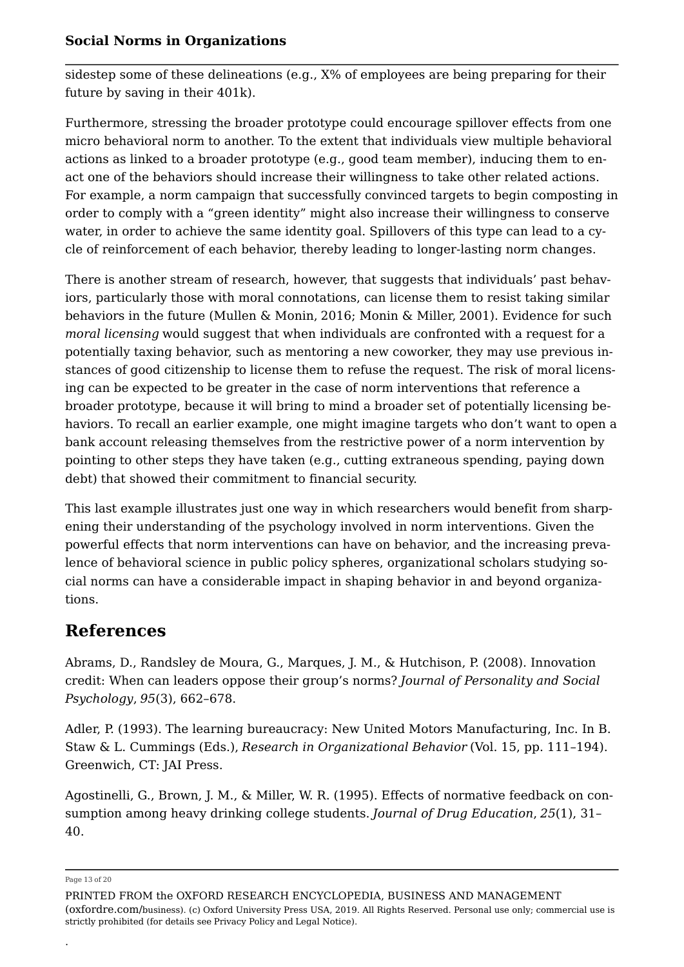sidestep some of these delineations (e.g., X% of employees are being preparing for their future by saving in their 401k).

Furthermore, stressing the broader prototype could encourage spillover effects from one micro behavioral norm to another. To the extent that individuals view multiple behavioral actions as linked to a broader prototype (e.g., good team member), inducing them to enact one of the behaviors should increase their willingness to take other related actions. For example, a norm campaign that successfully convinced targets to begin composting in order to comply with a "green identity" might also increase their willingness to conserve water, in order to achieve the same identity goal. Spillovers of this type can lead to a cycle of reinforcement of each behavior, thereby leading to longer-lasting norm changes.

There is another stream of research, however, that suggests that individuals' past behaviors, particularly those with moral connotations, can license them to resist taking similar behaviors in the future (Mullen & Monin, 2016; Monin & Miller, 2001). Evidence for such *moral licensing* would suggest that when individuals are confronted with a request for a potentially taxing behavior, such as mentoring a new coworker, they may use previous instances of good citizenship to license them to refuse the request. The risk of moral licensing can be expected to be greater in the case of norm interventions that reference a broader prototype, because it will bring to mind a broader set of potentially licensing behaviors. To recall an earlier example, one might imagine targets who don't want to open a bank account releasing themselves from the restrictive power of a norm intervention by pointing to other steps they have taken (e.g., cutting extraneous spending, paying down debt) that showed their commitment to financial security.

This last example illustrates just one way in which researchers would benefit from sharpening their understanding of the psychology involved in norm interventions. Given the powerful effects that norm interventions can have on behavior, and the increasing prevalence of behavioral science in public policy spheres, organizational scholars studying social norms can have a considerable impact in shaping behavior in and beyond organizations.

## **References**

Abrams, D., Randsley de Moura, G., Marques, J. M., & Hutchison, P. (2008). Innovation credit: When can leaders oppose their group's norms? *Journal of Personality and Social Psychology*, *95*(3), 662–678.

Adler, P. (1993). The learning bureaucracy: New United Motors Manufacturing, Inc. In B. Staw & L. Cummings (Eds.), *Research in Organizational Behavior* (Vol. 15, pp. 111–194). Greenwich, CT: JAI Press.

Agostinelli, G., Brown, J. M., & Miller, W. R. (1995). Effects of normative feedback on consumption among heavy drinking college students. *Journal of Drug Education*, *25*(1), 31– 40.

Page 13 of 20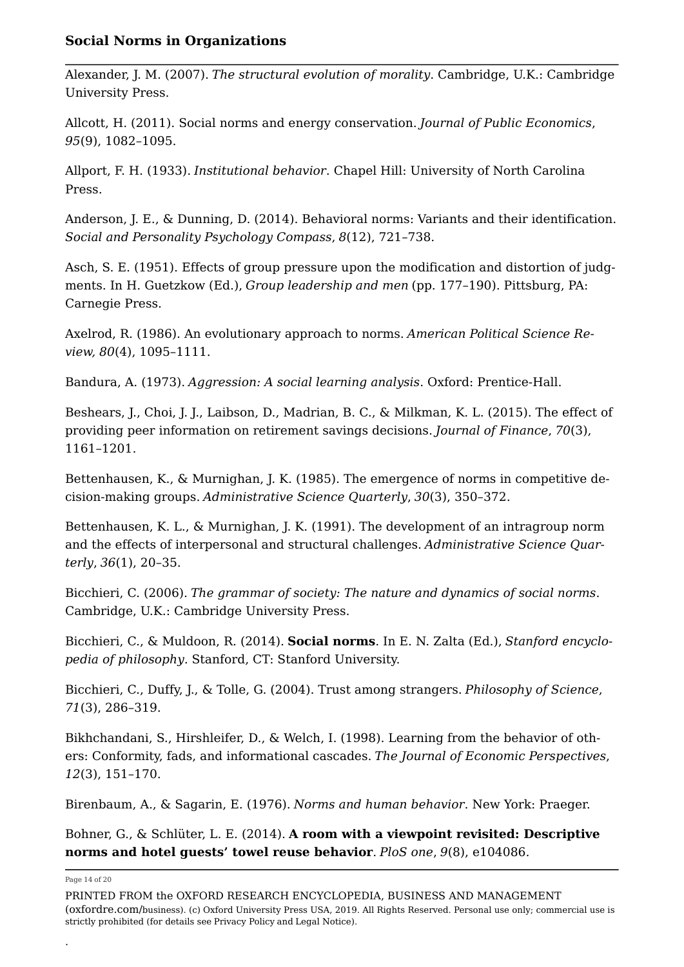Alexander, J. M. (2007). *The structural evolution of morality*. Cambridge, U.K.: Cambridge University Press.

Allcott, H. (2011). Social norms and energy conservation. *Journal of Public Economics*, *95*(9), 1082–1095.

Allport, F. H. (1933). *Institutional behavior*. Chapel Hill: University of North Carolina Press.

Anderson, J. E., & Dunning, D. (2014). Behavioral norms: Variants and their identification. *Social and Personality Psychology Compass*, *8*(12), 721–738.

Asch, S. E. (1951). Effects of group pressure upon the modification and distortion of judgments. In H. Guetzkow (Ed.), *Group leadership and men* (pp. 177–190). Pittsburg, PA: Carnegie Press.

Axelrod, R. (1986). An evolutionary approach to norms. *American Political Science Review, 80*(4), 1095–1111.

Bandura, A. (1973). *Aggression: A social learning analysis*. Oxford: Prentice-Hall.

Beshears, J., Choi, J. J., Laibson, D., Madrian, B. C., & Milkman, K. L. (2015). The effect of providing peer information on retirement savings decisions. *Journal of Finance*, *70*(3), 1161–1201.

Bettenhausen, K., & Murnighan, J. K. (1985). The emergence of norms in competitive decision-making groups. *Administrative Science Quarterly*, *30*(3), 350–372.

Bettenhausen, K. L., & Murnighan, J. K. (1991). The development of an intragroup norm and the effects of interpersonal and structural challenges. *Administrative Science Quarterly*, *36*(1), 20–35.

Bicchieri, C. (2006). *The grammar of society: The nature and dynamics of social norms*. Cambridge, U.K.: Cambridge University Press.

Bicchieri, C., & Muldoon, R. (2014). **Social norms**. In E. N. Zalta (Ed.), *Stanford encyclopedia of philosophy*. Stanford, CT: Stanford University.

Bicchieri, C., Duffy, J., & Tolle, G. (2004). Trust among strangers. *Philosophy of Science*, *71*(3), 286–319.

Bikhchandani, S., Hirshleifer, D., & Welch, I. (1998). Learning from the behavior of others: Conformity, fads, and informational cascades. *The Journal of Economic Perspectives*, *12*(3), 151–170.

Birenbaum, A., & Sagarin, E. (1976). *Norms and human behavior*. New York: Praeger.

Bohner, G., & Schlüter, L. E. (2014). **A room with a viewpoint revisited: Descriptive norms and hotel guests' towel reuse behavior**. *PloS one*, *9*(8), e104086.

Page 14 of 20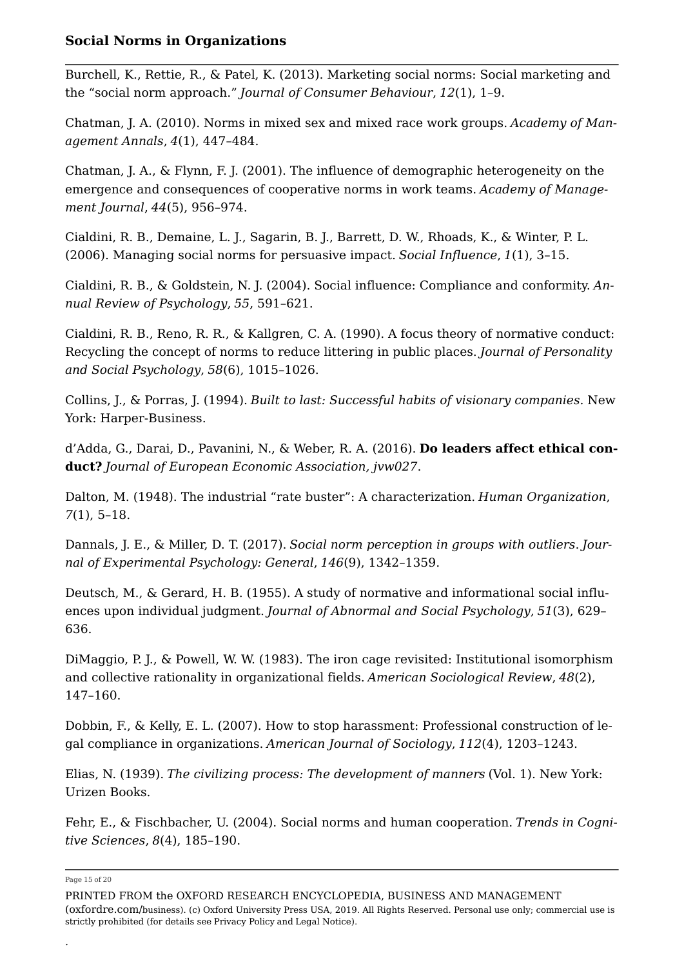Burchell, K., Rettie, R., & Patel, K. (2013). Marketing social norms: Social marketing and the "social norm approach." *Journal of Consumer Behaviour*, *12*(1), 1–9.

Chatman, J. A. (2010). Norms in mixed sex and mixed race work groups. *Academy of Management Annals*, *4*(1), 447–484.

Chatman, J. A., & Flynn, F. J. (2001). The influence of demographic heterogeneity on the emergence and consequences of cooperative norms in work teams. *Academy of Management Journal*, *44*(5), 956–974.

Cialdini, R. B., Demaine, L. J., Sagarin, B. J., Barrett, D. W., Rhoads, K., & Winter, P. L. (2006). Managing social norms for persuasive impact. *Social Influence*, *1*(1), 3–15.

Cialdini, R. B., & Goldstein, N. J. (2004). Social influence: Compliance and conformity. *Annual Review of Psychology*, *55*, 591–621.

Cialdini, R. B., Reno, R. R., & Kallgren, C. A. (1990). A focus theory of normative conduct: Recycling the concept of norms to reduce littering in public places. *Journal of Personality and Social Psychology*, *58*(6), 1015–1026.

Collins, J., & Porras, J. (1994). *Built to last: Successful habits of visionary companies*. New York: Harper-Business.

d'Adda, G., Darai, D., Pavanini, N., & Weber, R. A. (2016). **Do leaders affect ethical conduct?** *Journal of European Economic Association, jvw027*.

Dalton, M. (1948). The industrial "rate buster": A characterization. *Human Organization*, *7*(1), 5–18.

Dannals, J. E., & Miller, D. T. (2017). *Social norm perception in groups with outliers*. *Journal of Experimental Psychology: General*, *146*(9), 1342–1359.

Deutsch, M., & Gerard, H. B. (1955). A study of normative and informational social influences upon individual judgment. *Journal of Abnormal and Social Psychology*, *51*(3), 629– 636.

DiMaggio, P. J., & Powell, W. W. (1983). The iron cage revisited: Institutional isomorphism and collective rationality in organizational fields. *American Sociological Review*, *48*(2), 147–160.

Dobbin, F., & Kelly, E. L. (2007). How to stop harassment: Professional construction of legal compliance in organizations. *American Journal of Sociology*, *112*(4), 1203–1243.

Elias, N. (1939). *The civilizing process: The development of manners* (Vol. 1). New York: Urizen Books.

Fehr, E., & Fischbacher, U. (2004). Social norms and human cooperation. *Trends in Cognitive Sciences*, *8*(4), 185–190.

Page 15 of 20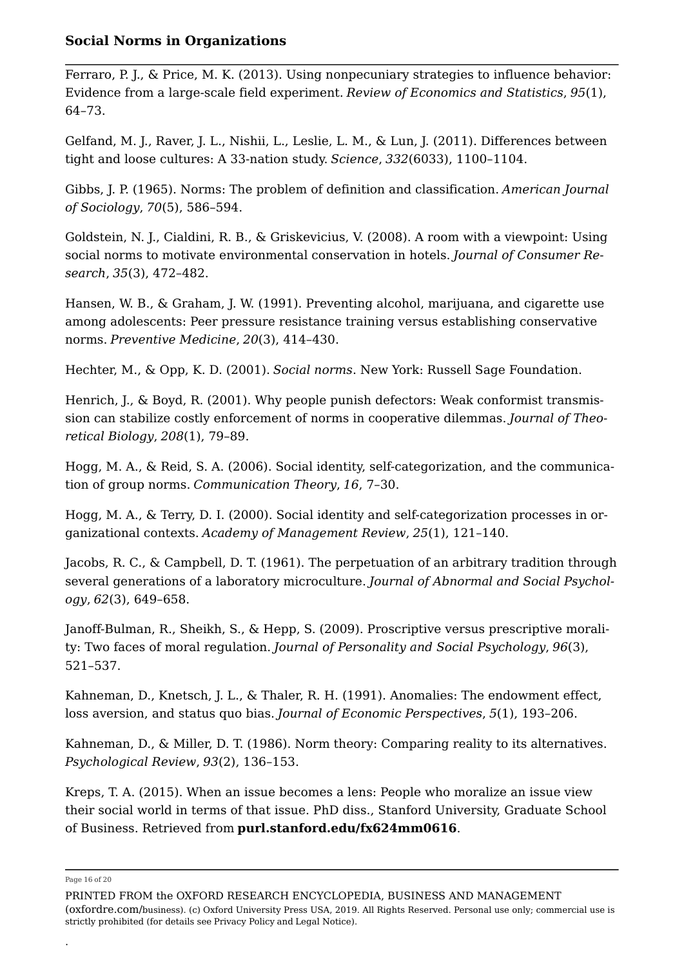Ferraro, P. J., & Price, M. K. (2013). Using nonpecuniary strategies to influence behavior: Evidence from a large-scale field experiment. *Review of Economics and Statistics*, *95*(1), 64–73.

Gelfand, M. J., Raver, J. L., Nishii, L., Leslie, L. M., & Lun, J. (2011). Differences between tight and loose cultures: A 33-nation study. *Science*, *332*(6033), 1100–1104.

Gibbs, J. P. (1965). Norms: The problem of definition and classification. *American Journal of Sociology*, *70*(5), 586–594.

Goldstein, N. J., Cialdini, R. B., & Griskevicius, V. (2008). A room with a viewpoint: Using social norms to motivate environmental conservation in hotels. *Journal of Consumer Research*, *35*(3), 472–482.

Hansen, W. B., & Graham, J. W. (1991). Preventing alcohol, marijuana, and cigarette use among adolescents: Peer pressure resistance training versus establishing conservative norms. *Preventive Medicine*, *20*(3), 414–430.

Hechter, M., & Opp, K. D. (2001). *Social norms*. New York: Russell Sage Foundation.

Henrich, J., & Boyd, R. (2001). Why people punish defectors: Weak conformist transmission can stabilize costly enforcement of norms in cooperative dilemmas. *Journal of Theoretical Biology*, *208*(1), 79–89.

Hogg, M. A., & Reid, S. A. (2006). Social identity, self-categorization, and the communication of group norms. *Communication Theory*, *16*, 7–30.

Hogg, M. A., & Terry, D. I. (2000). Social identity and self-categorization processes in organizational contexts. *Academy of Management Review*, *25*(1), 121–140.

Jacobs, R. C., & Campbell, D. T. (1961). The perpetuation of an arbitrary tradition through several generations of a laboratory microculture. *Journal of Abnormal and Social Psychology*, *62*(3), 649–658.

Janoff-Bulman, R., Sheikh, S., & Hepp, S. (2009). Proscriptive versus prescriptive morality: Two faces of moral regulation. *Journal of Personality and Social Psychology*, *96*(3), 521–537.

Kahneman, D., Knetsch, J. L., & Thaler, R. H. (1991). Anomalies: The endowment effect, loss aversion, and status quo bias. *Journal of Economic Perspectives*, *5*(1), 193–206.

Kahneman, D., & Miller, D. T. (1986). Norm theory: Comparing reality to its alternatives. *Psychological Review*, *93*(2), 136–153.

Kreps, T. A. (2015). When an issue becomes a lens: People who moralize an issue view their social world in terms of that issue. PhD diss., Stanford University, Graduate School of Business. Retrieved from **purl.stanford.edu/fx624mm0616**.

Page 16 of 20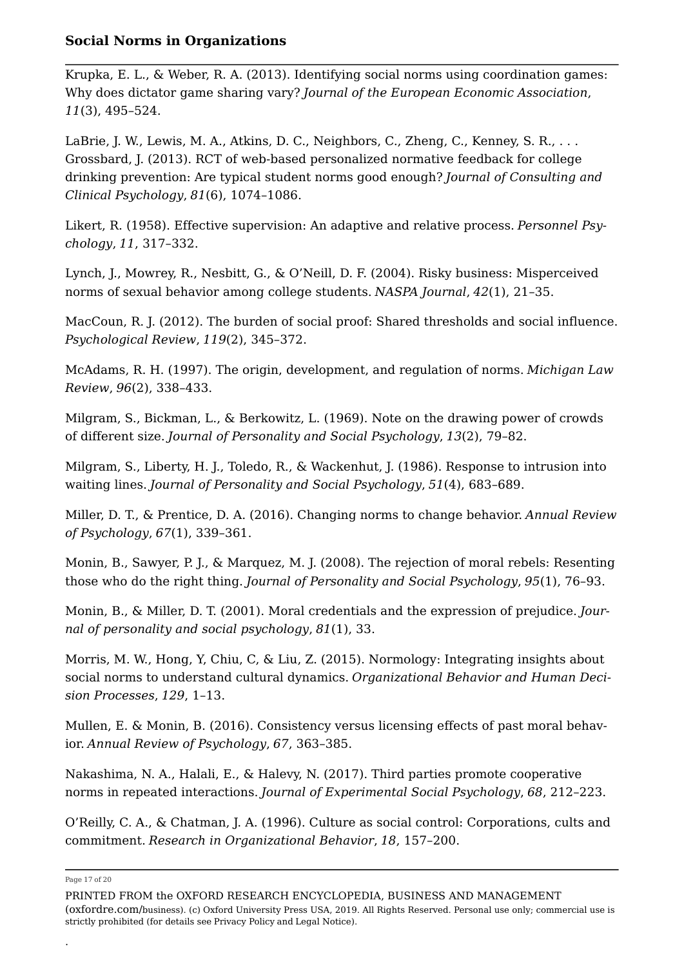Krupka, E. L., & Weber, R. A. (2013). Identifying social norms using coordination games: Why does dictator game sharing vary? *Journal of the European Economic Association*, *11*(3), 495–524.

LaBrie, J. W., Lewis, M. A., Atkins, D. C., Neighbors, C., Zheng, C., Kenney, S. R., . . . Grossbard, J. (2013). RCT of web-based personalized normative feedback for college drinking prevention: Are typical student norms good enough? *Journal of Consulting and Clinical Psychology*, *81*(6), 1074–1086.

Likert, R. (1958). Effective supervision: An adaptive and relative process. *Personnel Psychology*, *11*, 317–332.

Lynch, J., Mowrey, R., Nesbitt, G., & O'Neill, D. F. (2004). Risky business: Misperceived norms of sexual behavior among college students. *NASPA Journal*, *42*(1), 21–35.

MacCoun, R. J. (2012). The burden of social proof: Shared thresholds and social influence. *Psychological Review*, *119*(2), 345–372.

McAdams, R. H. (1997). The origin, development, and regulation of norms. *Michigan Law Review*, *96*(2), 338–433.

Milgram, S., Bickman, L., & Berkowitz, L. (1969). Note on the drawing power of crowds of different size. *Journal of Personality and Social Psychology*, *13*(2), 79–82.

Milgram, S., Liberty, H. J., Toledo, R., & Wackenhut, J. (1986). Response to intrusion into waiting lines. *Journal of Personality and Social Psychology*, *51*(4), 683–689.

Miller, D. T., & Prentice, D. A. (2016). Changing norms to change behavior. *Annual Review of Psychology*, *67*(1), 339–361.

Monin, B., Sawyer, P. J., & Marquez, M. J. (2008). The rejection of moral rebels: Resenting those who do the right thing. *Journal of Personality and Social Psychology*, *95*(1), 76–93.

Monin, B., & Miller, D. T. (2001). Moral credentials and the expression of prejudice. *Journal of personality and social psychology*, *81*(1), 33.

Morris, M. W., Hong, Y, Chiu, C, & Liu, Z. (2015). Normology: Integrating insights about social norms to understand cultural dynamics. *Organizational Behavior and Human Decision Processes*, *129*, 1–13.

Mullen, E. & Monin, B. (2016). Consistency versus licensing effects of past moral behavior. *Annual Review of Psychology*, *67*, 363–385.

Nakashima, N. A., Halali, E., & Halevy, N. (2017). Third parties promote cooperative norms in repeated interactions. *Journal of Experimental Social Psychology*, *68*, 212–223.

O'Reilly, C. A., & Chatman, J. A. (1996). Culture as social control: Corporations, cults and commitment. *Research in Organizational Behavior*, *18*, 157–200.

Page 17 of 20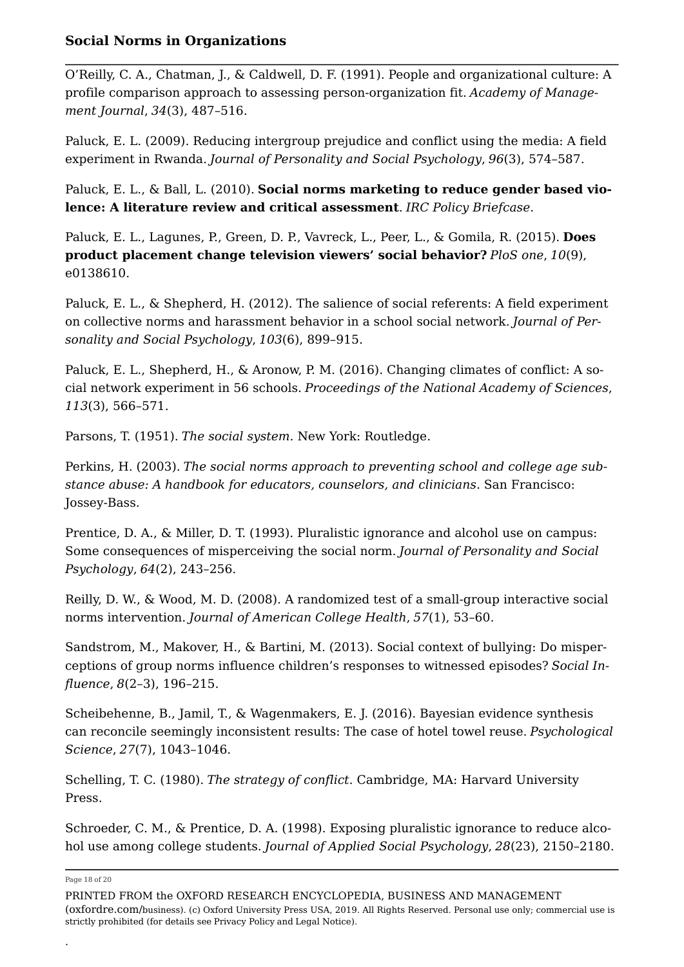O'Reilly, C. A., Chatman, J., & Caldwell, D. F. (1991). People and organizational culture: A profile comparison approach to assessing person-organization fit. *Academy of Management Journal*, *34*(3), 487–516.

Paluck, E. L. (2009). Reducing intergroup prejudice and conflict using the media: A field experiment in Rwanda. *Journal of Personality and Social Psychology*, *96*(3), 574–587.

Paluck, E. L., & Ball, L. (2010). **Social norms marketing to reduce gender based violence: A literature review and critical assessment**. *IRC Policy Briefcase*.

Paluck, E. L., Lagunes, P., Green, D. P., Vavreck, L., Peer, L., & Gomila, R. (2015). **Does product placement change television viewers' social behavior?** *PloS one*, *10*(9), e0138610.

Paluck, E. L., & Shepherd, H. (2012). The salience of social referents: A field experiment on collective norms and harassment behavior in a school social network. *Journal of Personality and Social Psychology*, *103*(6), 899–915.

Paluck, E. L., Shepherd, H., & Aronow, P. M. (2016). Changing climates of conflict: A social network experiment in 56 schools. *Proceedings of the National Academy of Sciences*, *113*(3), 566–571.

Parsons, T. (1951). *The social system*. New York: Routledge.

Perkins, H. (2003). *The social norms approach to preventing school and college age substance abuse: A handbook for educators, counselors, and clinicians*. San Francisco: Jossey-Bass.

Prentice, D. A., & Miller, D. T. (1993). Pluralistic ignorance and alcohol use on campus: Some consequences of misperceiving the social norm. *Journal of Personality and Social Psychology*, *64*(2), 243–256.

Reilly, D. W., & Wood, M. D. (2008). A randomized test of a small-group interactive social norms intervention. *Journal of American College Health*, *57*(1), 53–60.

Sandstrom, M., Makover, H., & Bartini, M. (2013). Social context of bullying: Do misperceptions of group norms influence children's responses to witnessed episodes? *Social Influence*, *8*(2–3), 196–215.

Scheibehenne, B., Jamil, T., & Wagenmakers, E. J. (2016). Bayesian evidence synthesis can reconcile seemingly inconsistent results: The case of hotel towel reuse. *Psychological Science*, *27*(7), 1043–1046.

Schelling, T. C. (1980). *The strategy of conflict*. Cambridge, MA: Harvard University Press.

Schroeder, C. M., & Prentice, D. A. (1998). Exposing pluralistic ignorance to reduce alcohol use among college students. *Journal of Applied Social Psychology*, *28*(23), 2150–2180.

Page 18 of 20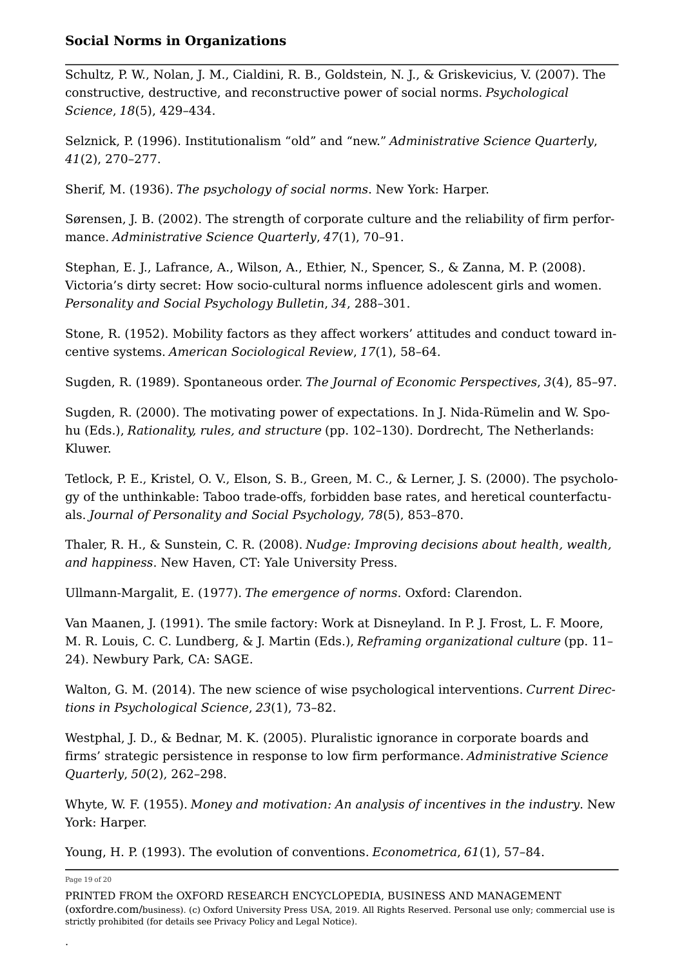Schultz, P. W., Nolan, J. M., Cialdini, R. B., Goldstein, N. J., & Griskevicius, V. (2007). The constructive, destructive, and reconstructive power of social norms. *Psychological Science*, *18*(5), 429–434.

Selznick, P. (1996). Institutionalism "old" and "new." *Administrative Science Quarterly*, *41*(2), 270–277.

Sherif, M. (1936). *The psychology of social norms*. New York: Harper.

Sørensen, J. B. (2002). The strength of corporate culture and the reliability of firm performance. *Administrative Science Quarterly*, *47*(1), 70–91.

Stephan, E. J., Lafrance, A., Wilson, A., Ethier, N., Spencer, S., & Zanna, M. P. (2008). Victoria's dirty secret: How socio-cultural norms influence adolescent girls and women. *Personality and Social Psychology Bulletin*, *34*, 288–301.

Stone, R. (1952). Mobility factors as they affect workers' attitudes and conduct toward incentive systems. *American Sociological Review*, *17*(1), 58–64.

Sugden, R. (1989). Spontaneous order. *The Journal of Economic Perspectives*, *3*(4), 85–97.

Sugden, R. (2000). The motivating power of expectations. In J. Nida-Rümelin and W. Spohu (Eds.), *Rationality, rules, and structure* (pp. 102–130). Dordrecht, The Netherlands: Kluwer.

Tetlock, P. E., Kristel, O. V., Elson, S. B., Green, M. C., & Lerner, J. S. (2000). The psychology of the unthinkable: Taboo trade-offs, forbidden base rates, and heretical counterfactuals. *Journal of Personality and Social Psychology*, *78*(5), 853–870.

Thaler, R. H., & Sunstein, C. R. (2008). *Nudge: Improving decisions about health, wealth, and happiness*. New Haven, CT: Yale University Press.

Ullmann-Margalit, E. (1977). *The emergence of norms*. Oxford: Clarendon.

Van Maanen, J. (1991). The smile factory: Work at Disneyland. In P. J. Frost, L. F. Moore, M. R. Louis, C. C. Lundberg, & J. Martin (Eds.), *Reframing organizational culture* (pp. 11– 24). Newbury Park, CA: SAGE.

Walton, G. M. (2014). The new science of wise psychological interventions. *Current Directions in Psychological Science*, *23*(1), 73–82.

Westphal, J. D., & Bednar, M. K. (2005). Pluralistic ignorance in corporate boards and firms' strategic persistence in response to low firm performance. *Administrative Science Quarterly*, *50*(2), 262–298.

Whyte, W. F. (1955). *Money and motivation: An analysis of incentives in the industry*. New York: Harper.

Young, H. P. (1993). The evolution of conventions. *Econometrica*, *61*(1), 57–84.

Page 19 of 20